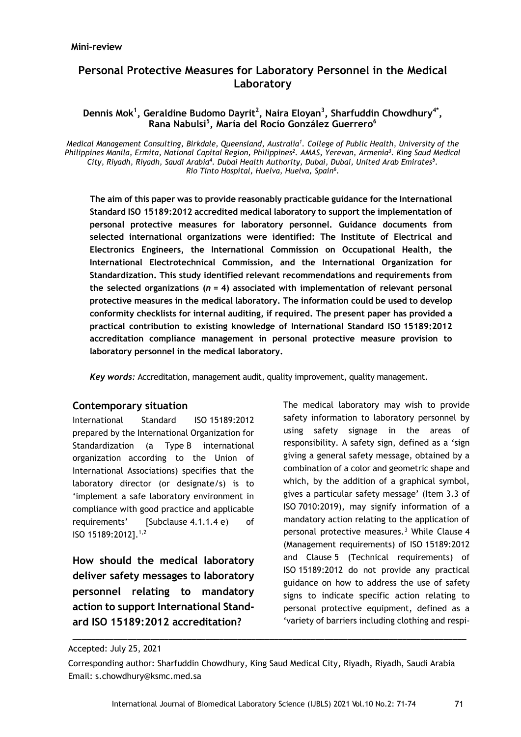# **Personal Protective Measures for Laboratory Personnel in the Medical Laboratory**

## Dennis Mok<sup>1</sup>, Geraldine Budomo Dayrit<sup>2</sup>, Naira Eloyan<sup>3</sup>, Sharfuddin Chowdhury<sup>4\*</sup>, **Rana Nabulsi<sup>5</sup> , María del Rocío González Guerrero<sup>6</sup>**

*Medical Management Consulting, Birkdale, Queensland, Australia<sup>1</sup> . College of Public Health, University of the Philippines Manila, Ermita, National Capital Region, Philippines<sup>2</sup> . AMAS, Yerevan, Armenia<sup>3</sup> . King Saud Medical City, Riyadh, Riyadh, Saudi Arabia<sup>4</sup> . Dubai Health Authority, Dubai, Dubai, United Arab Emirates<sup>5</sup> . Rio Tinto Hospital, Huelva, Huelva, Spain<sup>6</sup> .*

**The aim of this paper was to provide reasonably practicable guidance for the International Standard ISO 15189:2012 accredited medical laboratory to support the implementation of personal protective measures for laboratory personnel. Guidance documents from selected international organizations were identified: The Institute of Electrical and Electronics Engineers, the International Commission on Occupational Health, the International Electrotechnical Commission, and the International Organization for Standardization. This study identified relevant recommendations and requirements from the selected organizations (***n* **= 4) associated with implementation of relevant personal protective measures in the medical laboratory. The information could be used to develop conformity checklists for internal auditing, if required. The present paper has provided a practical contribution to existing knowledge of International Standard ISO 15189:2012 accreditation compliance management in personal protective measure provision to laboratory personnel in the medical laboratory.**

*Key words:* Accreditation, management audit, quality improvement, quality management.

### **Contemporary situation**

International Standard ISO 15189:2012 prepared by the International Organization for Standardization (a Type B international organization according to the Union of International Associations) specifies that the laboratory director (or designate/s) is to 'implement a safe laboratory environment in compliance with good practice and applicable requirements' [Subclause 4.1.1.4 e) of ISO 15189:2012].1,2

**How should the medical laboratory deliver safety messages to laboratory personnel relating to mandatory action to support International Standard ISO 15189:2012 accreditation?**

The medical laboratory may wish to provide safety information to laboratory personnel by using safety signage in the areas of responsibility. A safety sign, defined as a 'sign giving a general safety message, obtained by a combination of a color and geometric shape and which, by the addition of a graphical symbol, gives a particular safety message' (Item 3.3 of ISO 7010:2019), may signify information of a mandatory action relating to the application of personal protective measures.<sup>3</sup> While Clause 4 (Management requirements) of ISO 15189:2012 and Clause 5 (Technical requirements) of ISO 15189:2012 do not provide any practical guidance on how to address the use of safety signs to indicate specific action relating to personal protective equipment, defined as a 'variety of barriers including clothing and respi-

Accepted: July 25, 2021

\_\_\_\_\_\_\_\_\_\_\_\_\_\_\_\_\_\_\_\_\_\_\_\_\_\_\_\_\_\_\_\_\_\_\_\_\_\_\_\_\_\_\_\_\_\_\_\_\_\_\_\_\_\_\_\_\_\_\_\_\_\_\_\_\_\_\_\_\_\_\_\_\_\_\_\_\_\_\_\_\_\_\_\_\_\_

Corresponding author: Sharfuddin Chowdhury, King Saud Medical City, Riyadh, Riyadh, Saudi Arabia Email: s.chowdhury@ksmc.med.sa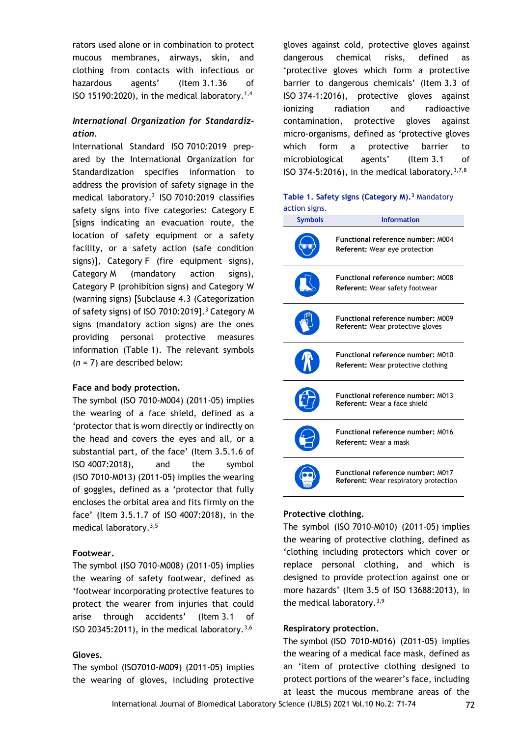rators used alone or in combination to protect mucous membranes, airways, skin, and clothing from contacts with infectious or hazardous agents' (Item 3.1.36 of ISO 15190:2020), in the medical laboratory. $1,4$ 

# *International Organization for Standardization.*

International Standard ISO 7010:2019 prepared by the International Organization for Standardization specifies information to address the provision of safety signage in the medical laboratory.<sup>3</sup> ISO 7010:2019 classifies safety signs into five categories: Category E [signs indicating an evacuation route, the location of safety equipment or a safety facility, or a safety action (safe condition signs)], Category F (fire equipment signs), Category M (mandatory action signs), Category P (prohibition signs) and Category W (warning signs) [Subclause 4.3 (Categorization of safety signs) of ISO 7010:2019].<sup>3</sup> Category M signs (mandatory action signs) are the ones providing personal protective measures information (Table 1). The relevant symbols (*n* = 7) are described below:

### **Face and body protection.**

The symbol (ISO 7010-M004) (2011-05) implies the wearing of a face shield, defined as a 'protector that is worn directly or indirectly on the head and covers the eyes and all, or a substantial part, of the face' (Item 3.5.1.6 of ISO 4007:2018), and the symbol (ISO 7010-M013) (2011-05) implies the wearing of goggles, defined as a 'protector that fully encloses the orbital area and fits firmly on the face' (Item 3.5.1.7 of ISO 4007:2018), in the medical laboratory.3,5

### **Footwear.**

The symbol (ISO 7010-M008) (2011-05) implies the wearing of safety footwear, defined as 'footwear incorporating protective features to protect the wearer from injuries that could arise through accidents' (Item 3.1 of ISO 20345:2011), in the medical laboratory. $3,6$ 

### **Gloves.**

The symbol (ISO7010-M009) (2011-05) implies the wearing of gloves, including protective gloves against cold, protective gloves against dangerous chemical risks, defined as 'protective gloves which form a protective barrier to dangerous chemicals' (Item 3.3 of ISO 374-1:2016), protective gloves against ionizing radiation and radioactive contamination, protective gloves against micro-organisms, defined as 'protective gloves which form a protective barrier to microbiological agents' (Item 3.1 of ISO 374-5:2016), in the medical laboratory.  $3,7,8$ 

### **Table 1. Safety signs (Category M).<sup>3</sup>** Mandatory action signs.

| <b>Symbols</b> | <b>Information</b>                                                                       |
|----------------|------------------------------------------------------------------------------------------|
|                | Functional reference number: M004<br><b>Referent:</b> Wear eye protection                |
|                | Functional reference number: M008<br>Referent: Wear safety footwear                      |
|                | Functional reference number: M009<br>Referent: Wear protective gloves                    |
|                | <b>Functional reference number: M010</b><br><b>Referent: Wear protective clothing</b>    |
|                | <b>Functional reference number: M013</b><br>Referent: Wear a face shield                 |
|                | Functional reference number: M016<br>Referent: Wear a mask                               |
|                | <b>Functional reference number: M017</b><br><b>Referent: Wear respiratory protection</b> |

## **Protective clothing.**

The symbol (ISO 7010-M010) (2011-05) implies the wearing of protective clothing, defined as 'clothing including protectors which cover or replace personal clothing, and which is designed to provide protection against one or more hazards' (Item 3.5 of ISO 13688:2013), in the medical laboratory.<sup>3,9</sup>

## **Respiratory protection.**

The symbol (ISO 7010-M016) (2011-05) implies the wearing of a medical face mask, defined as an 'item of protective clothing designed to protect portions of the wearer's face, including at least the mucous membrane areas of the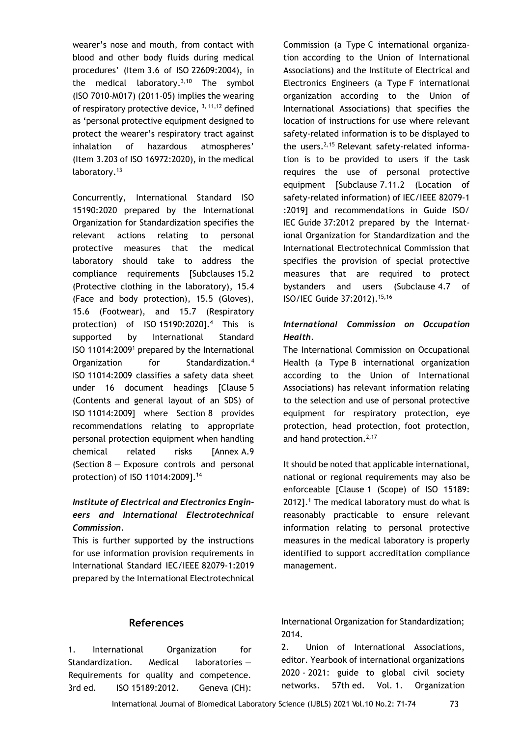wearer's nose and mouth, from contact with blood and other body fluids during medical procedures' (Item 3.6 of ISO 22609:2004), in the medical laboratory. $3,10$  The symbol (ISO 7010-M017) (2011-05) implies the wearing of respiratory protective device,  $3, 11, 12$  defined as 'personal protective equipment designed to protect the wearer's respiratory tract against inhalation of hazardous atmospheres' (Item 3.203 of ISO 16972:2020), in the medical laboratory.<sup>13</sup>

Concurrently, International Standard ISO 15190:2020 prepared by the International Organization for Standardization specifies the relevant actions relating to personal protective measures that the medical laboratory should take to address the compliance requirements [Subclauses 15.2 (Protective clothing in the laboratory), 15.4 (Face and body protection), 15.5 (Gloves), 15.6 (Footwear), and 15.7 (Respiratory protection) of ISO 15190:2020].<sup>4</sup> This is supported by International Standard ISO 11014:2009<sup>1</sup> prepared by the International Organization for Standardization.<sup>4</sup> ISO 11014:2009 classifies a safety data sheet under 16 document headings [Clause 5 (Contents and general layout of an SDS) of ISO 11014:2009] where Section 8 provides recommendations relating to appropriate personal protection equipment when handling chemical related risks [Annex A.9 (Section 8 — Exposure controls and personal protection) of ISO 11014:2009].<sup>14</sup>

# *Institute of Electrical and Electronics Engineers and International Electrotechnical Commission.*

This is further supported by the instructions for use information provision requirements in International Standard IEC/IEEE 82079-1:2019 prepared by the International Electrotechnical Commission (a Type C international organization according to the Union of International Associations) and the Institute of Electrical and Electronics Engineers (a Type F international organization according to the Union of International Associations) that specifies the location of instructions for use where relevant safety-related information is to be displayed to the users.2,15 Relevant safety-related information is to be provided to users if the task requires the use of personal protective equipment [Subclause 7.11.2 (Location of safety-related information) of IEC/IEEE 82079-1 :2019] and recommendations in Guide ISO/ IEC Guide 37:2012 prepared by the International Organization for Standardization and the International Electrotechnical Commission that specifies the provision of special protective measures that are required to protect bystanders and users (Subclause 4.7 of ISO/IEC Guide 37:2012).15,16

# *International Commission on Occupation Health.*

The International Commission on Occupational Health (a Type B international organization according to the Union of International Associations) has relevant information relating to the selection and use of personal protective equipment for respiratory protection, eye protection, head protection, foot protection, and hand protection.  $2,17$ 

It should be noted that applicable international, national or regional requirements may also be enforceable [Clause 1 (Scope) of ISO 15189: 2012].<sup>1</sup> The medical laboratory must do what is reasonably practicable to ensure relevant information relating to personal protective measures in the medical laboratory is properly identified to support accreditation compliance management.

## **References**

1. International Organization for Standardization. Medical laboratories — Requirements for quality and competence. 3rd ed. ISO 15189:2012. Geneva (CH): International Organization for Standardization; 2014.

2. Union of International Associations, editor. Yearbook of international organizations 2020 - 2021: guide to global civil society networks. 57th ed. Vol. 1. Organization